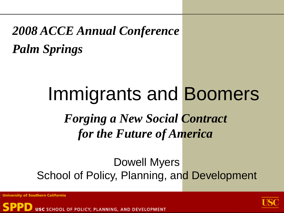*2008 ACCE Annual Conference Palm Springs*

### Immigrants and Boomers

*Forging a New Social Contract for the Future of America*

#### Dowell Myers School of Policy, Planning, and Development

**University of Southern California** 



USC SCHOOL OF POLICY, PLANNING, AND DEVELOPMENT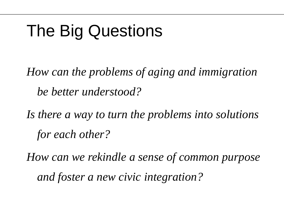### The Big Questions

*How can the problems of aging and immigration be better understood?*

*Is there a way to turn the problems into solutions for each other?*

*How can we rekindle a sense of common purpose and foster a new civic integration?*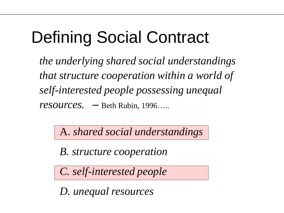## Defining Social Contract

*the underlying shared social understandings that structure cooperation within a world of self-interested people possessing unequal resources.* – Beth Rubin, 1996…..

A. *shared social understandings* 

*B. structure cooperation* 

*C. self-interested people* 

*D. unequal resources*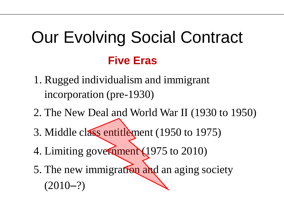### Our Evolving Social Contract **Five Eras**

- 1. Rugged individualism and immigrant incorporation (pre-1930)
- 2. The New Deal and World War II (1930 to 1950)
- 3. Middle class entitlement (1950 to 1975)
- 4. Limiting government (1975 to 2010)
- 5. The new immigration and an aging society  $(2010-?)$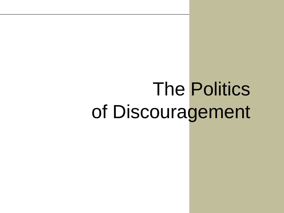# The Politics of Discouragement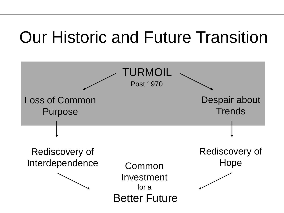### Our Historic and Future Transition

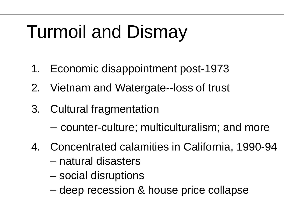# Turmoil and Dismay

- 1. Economic disappointment post-1973
- 2. Vietnam and Watergate--loss of trust
- 3. Cultural fragmentation
	- counter-culture; multiculturalism; and more
- 4. Concentrated calamities in California, 1990-94
	- natural disasters
	- social disruptions
	- deep recession & house price collapse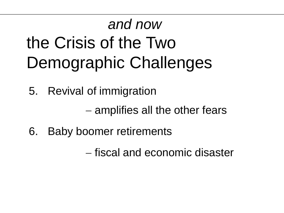### *and now* the Crisis of the Two Demographic Challenges

- 5. Revival of immigration
	- amplifies all the other fears
- 6. Baby boomer retirements
	- fiscal and economic disaster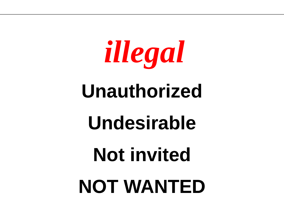*illegal*

## **Unauthorized**

# **Undesirable**

# **Not invited**

# **NOT WANTED**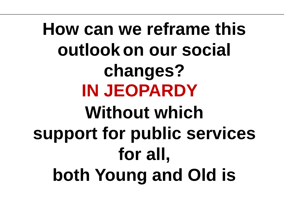**Without which support for public services for all, both Young and Old is IN JEOPARDY How can we reframe this outlook on our social changes?**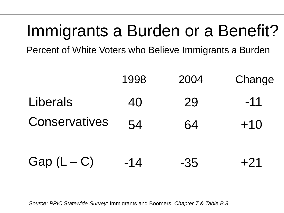### Immigrants a Burden or a Benefit?

Percent of White Voters who Believe Immigrants a Burden

|               | 1998  | 2004  | Change |
|---------------|-------|-------|--------|
| Liberals      | 40    | 29    | $-11$  |
| Conservatives | 54    | 64    | $+10$  |
| $Gap(L-C)$    | $-14$ | $-35$ | $+21$  |

*Source: PPIC Statewide Survey;* Immigrants and Boomers, *Chapter 7 & Table B.3*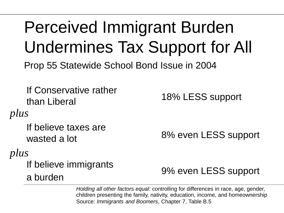# Perceived Immigrant Burden Undermines Tax Support for All

Prop 55 Statewide School Bond Issue in 2004

If Conservative rather than Liberal

*plus*

If believe taxes are wasted a lot

*plus*

If believe immigrants

a burden

18% LESS support

8% even LESS support

#### 9% even LESS support

*Holding all other factors equal*: controlling for differences in race, age, gender, children presenting the family, nativity, education, income, and homeownership Source: *Immigrants and Boomers*, Chapter 7, Table B.5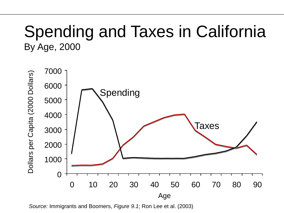### Spending and Taxes in California By Age, 2000



*Source:* Immigrants and Boomers, *Figure 9.1*; Ron Lee et al. (2003)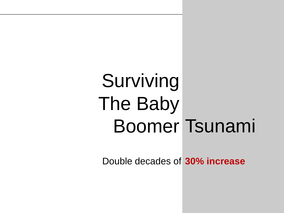# Boomer Tsunami Surviving The Baby

Double decades of **30% increase**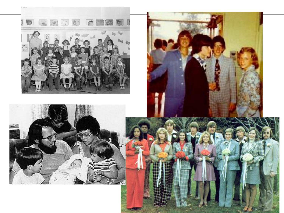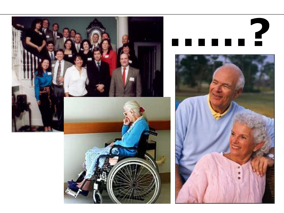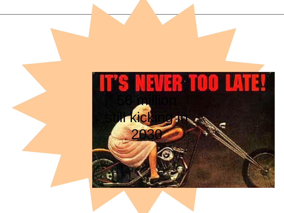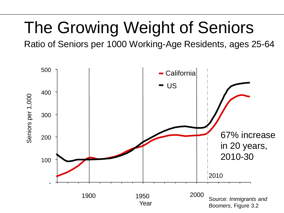### The Growing Weight of Seniors

Ratio of Seniors per 1000 Working-Age Residents, ages 25-64

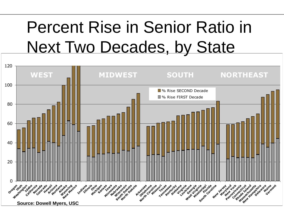### Percent Rise in Senior Ratio in Next Two Decades, by State

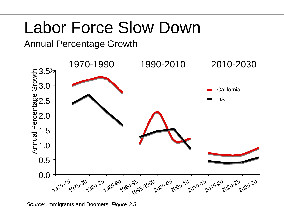### Labor Force Slow Down

Annual Percentage Growth

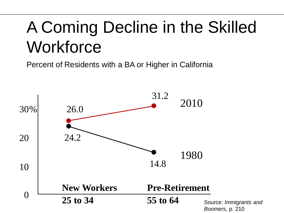### A Coming Decline in the Skilled **Workforce**

Percent of Residents with a BA or Higher in California



*Boomers*, p. 210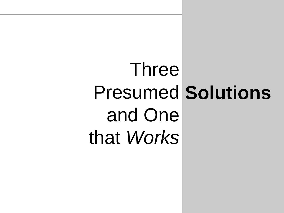# **Presumed Solutions** Three and One that *Works*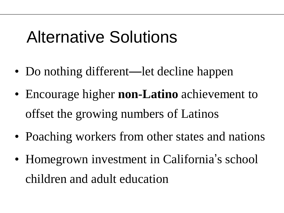### Alternative Solutions

- Do nothing different—let decline happen
- Encourage higher **non-Latino** achievement to offset the growing numbers of Latinos
- Poaching workers from other states and nations
- Homegrown investment in California's school children and adult education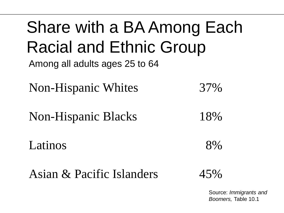### Share with a BA Among Each Racial and Ethnic Group Among all adults ages 25 to 64

Non-Hispanic Whites 37%

Non-Hispanic Blacks 18%

Latinos 8%

Asian & Pacific Islanders 45%

Source: *Immigrants and Boomers,* Table 10.1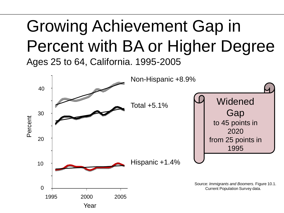### Growing Achievement Gap in Percent with BA or Higher Degree Ages 25 to 64, California. 1995-2005

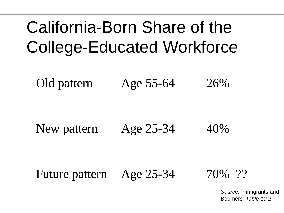### California-Born Share of the College-Educated Workforce

Old pattern Age 55-64 26%

New pattern Age 25-34 40%

Future pattern Age 25-34 70% ??

*Source:* Immigrants and Boomers*, Table 10.2*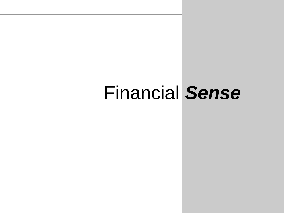### Financial *Sense*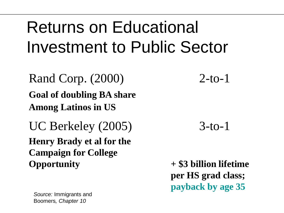### Returns on Educational Investment to Public Sector

Rand Corp. (2000) 2-to-1 **Goal of doubling BA share Among Latinos in US**

UC Berkeley (2005) 3-to-1 **Henry Brady et al for the Campaign for College Opportunity + \$3 billion lifetime**

*Source:* Immigrants and Boomers*, Chapter 10*

**per HS grad class; payback by age 35**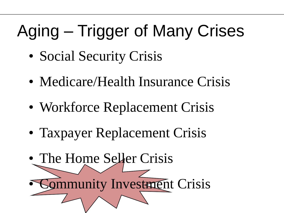## Aging – Trigger of Many Crises

- Social Security Crisis
- Medicare/Health Insurance Crisis
- Workforce Replacement Crisis
- Taxpayer Replacement Crisis
- The Home Seller Crisis **Sommunity Investment Crisis**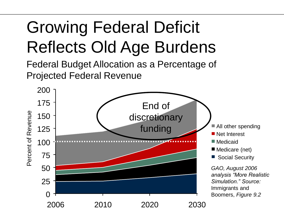## Growing Federal Deficit Reflects Old Age Burdens

Federal Budget Allocation as a Percentage of Projected Federal Revenue

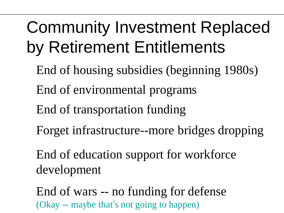## Community Investment Replaced by Retirement Entitlements

- End of housing subsidies (beginning 1980s)
- End of environmental programs
- End of transportation funding
- Forget infrastructure--more bridges dropping
- End of education support for workforce development
- End of wars -- no funding for defense (Okay -- maybe that's not going to happen)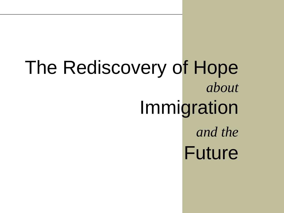## The Rediscovery of Hope *about* Immigration *and the* Future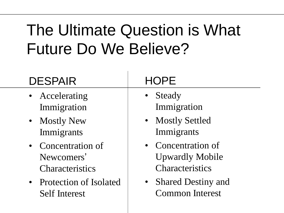### The Ultimate Question is What Future Do We Believe?

#### DESPAIR

- Accelerating Immigration
- Mostly New Immigrants
- Concentration of Newcomers' Characteristics
- Protection of Isolated Self Interest

#### **HOPE**

- **Steady** Immigration
- Mostly Settled Immigrants
- Concentration of Upwardly Mobile **Characteristics**
- Shared Destiny and Common Interest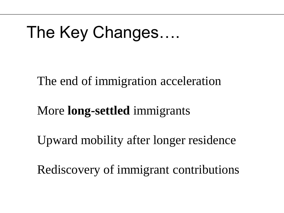### The Key Changes….

The end of immigration acceleration

#### More **long-settled** immigrants

Upward mobility after longer residence

Rediscovery of immigrant contributions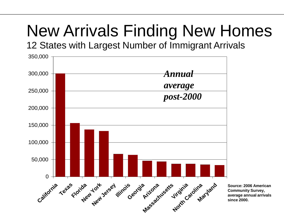## New Arrivals Finding New Homes

12 States with Largest Number of Immigrant Arrivals



**Source: 2006 American Community Survey, average annual arrivals since 2000.**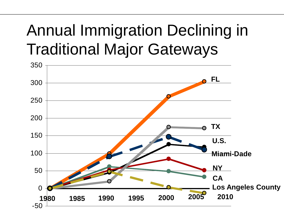### Annual Immigration Declining in Traditional Major Gateways

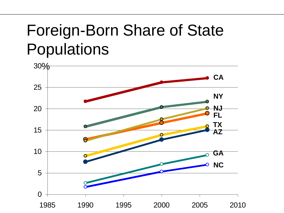### Foreign-Born Share of State Populations

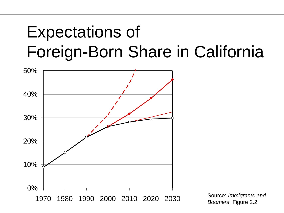### Expectations of Foreign-Born Share in California



Source: *Immigrants and Boomers*, Figure 2.2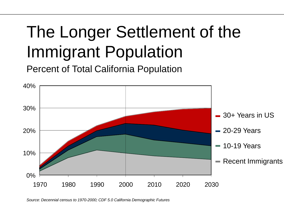## The Longer Settlement of the Immigrant Population

Percent of Total California Population



*Source: Decennial census to 1970-2000; CDF 5.0 California Demographic Futures*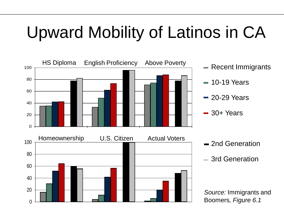## Upward Mobility of Latinos in CA

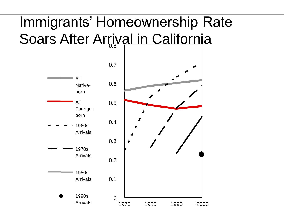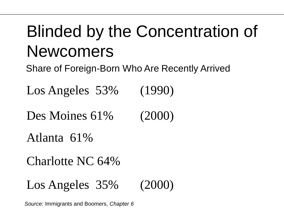### Blinded by the Concentration of Newcomers

Share of Foreign-Born Who Are Recently Arrived

Los Angeles 53% (1990)

Des Moines 61% (2000)

Atlanta 61%

Charlotte NC 64%

Los Angeles 35% (2000)

*Source:* Immigrants and Boomers, *Chapter 6*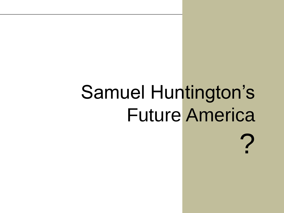# Samuel Huntington's Future America

?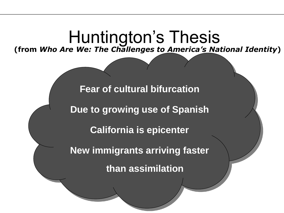#### Huntington's Thesis **(from** *Who Are We: The Challenges to America's National Identity***)**

**Fear of cultural bifurcation**

**Due to growing use of Spanish**

**California is epicenter**

**New immigrants arriving faster** 

**than assimilation**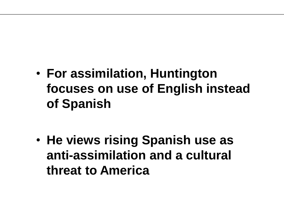• **For assimilation, Huntington focuses on use of English instead of Spanish** 

• **He views rising Spanish use as anti-assimilation and a cultural threat to America**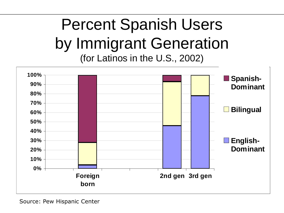### Percent Spanish Users by Immigrant Generation (for Latinos in the U.S., 2002)



Source: Pew Hispanic Center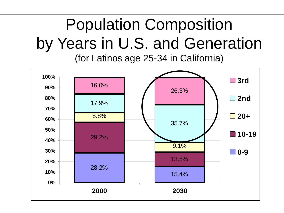### Population Composition by Years in U.S. and Generation (for Latinos age 25-34 in California)

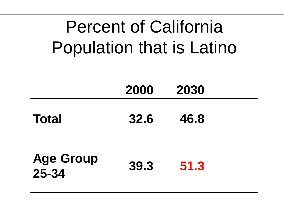### Percent of California Population that is Latino

**2000 2030 Total 32.6 46.8 Age Group 25-34 39.3 51.3**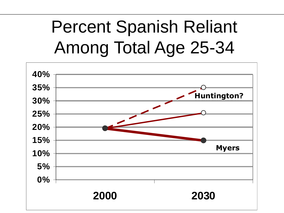## Percent Spanish Reliant Among Total Age 25-34

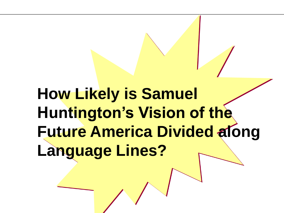### **How Likely is Samuel Huntington's Vision of the Future America Divided along Language Lines?**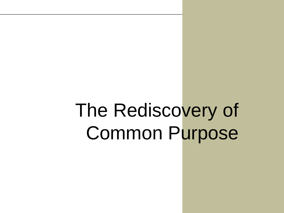# The Rediscovery of Common Purpose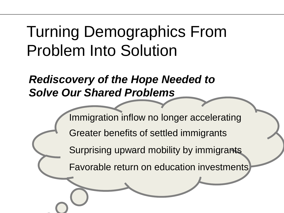### Turning Demographics From Problem Into Solution

*Rediscovery of the Hope Needed to Solve Our Shared Problems*

Immigration inflow no longer accelerating Greater benefits of settled immigrants Surprising upward mobility by immigrants Favorable return on education investments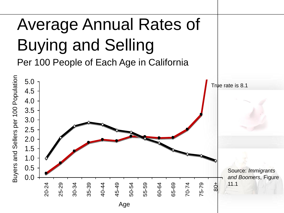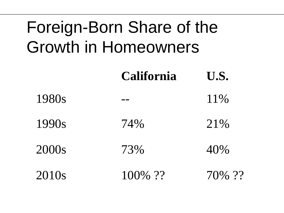### Foreign-Born Share of the Growth in Homeowners

|       | California | U.S.   |
|-------|------------|--------|
| 1980s |            | 11%    |
| 1990s | 74%        | 21%    |
| 2000s | 73%        | 40%    |
| 2010s | 100% ??    | 70% ?? |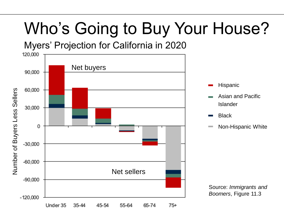## Who's Going to Buy Your House?

Myers' Projection for California in 2020

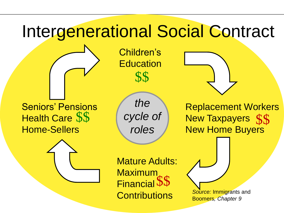### Intergenerational Social Contract

Children's

**Education** 

\$\$

Seniors' Pensions Health Care \$\$ Home-Sellers

*the cycle of roles*

Mature Adults: Maximum Financial \$\$ **Contributions** 

Replacement Workers New Taxpayers \$\$ New Home Buyers

*Source:* Immigrants and Boomers*, Chapter 9*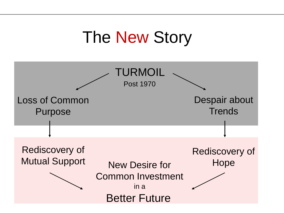### The New Story